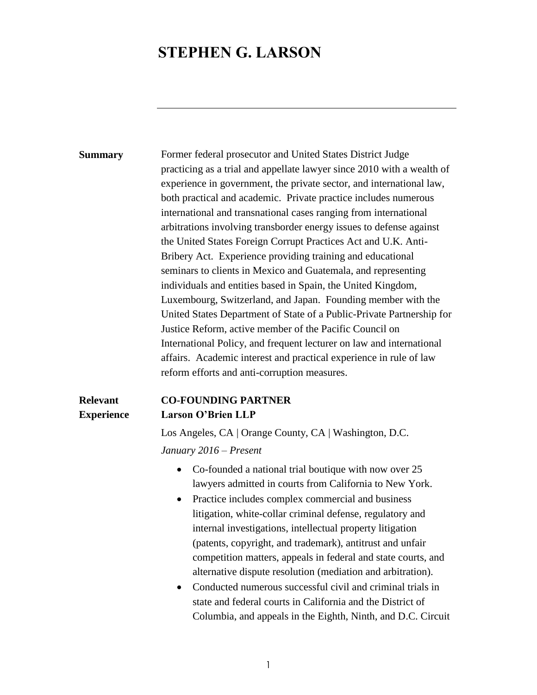# **STEPHEN G. LARSON**

**Summary** Former federal prosecutor and United States District Judge practicing as a trial and appellate lawyer since 2010 with a wealth of experience in government, the private sector, and international law, both practical and academic. Private practice includes numerous international and transnational cases ranging from international arbitrations involving transborder energy issues to defense against the United States Foreign Corrupt Practices Act and U.K. Anti-Bribery Act. Experience providing training and educational seminars to clients in Mexico and Guatemala, and representing individuals and entities based in Spain, the United Kingdom, Luxembourg, Switzerland, and Japan. Founding member with the United States Department of State of a Public-Private Partnership for Justice Reform, active member of the Pacific Council on International Policy, and frequent lecturer on law and international affairs. Academic interest and practical experience in rule of law reform efforts and anti-corruption measures.

**Relevant Experience**

#### **CO-FOUNDING PARTNER Larson O'Brien LLP**

Los Angeles, CA | Orange County, CA | Washington, D.C.

*January 2016 – Present* 

- Co-founded a national trial boutique with now over 25 lawyers admitted in courts from California to New York.
- Practice includes complex commercial and business litigation, white-collar criminal defense, regulatory and internal investigations, intellectual property litigation (patents, copyright, and trademark), antitrust and unfair competition matters, appeals in federal and state courts, and alternative dispute resolution (mediation and arbitration).
- Conducted numerous successful civil and criminal trials in state and federal courts in California and the District of Columbia, and appeals in the Eighth, Ninth, and D.C. Circuit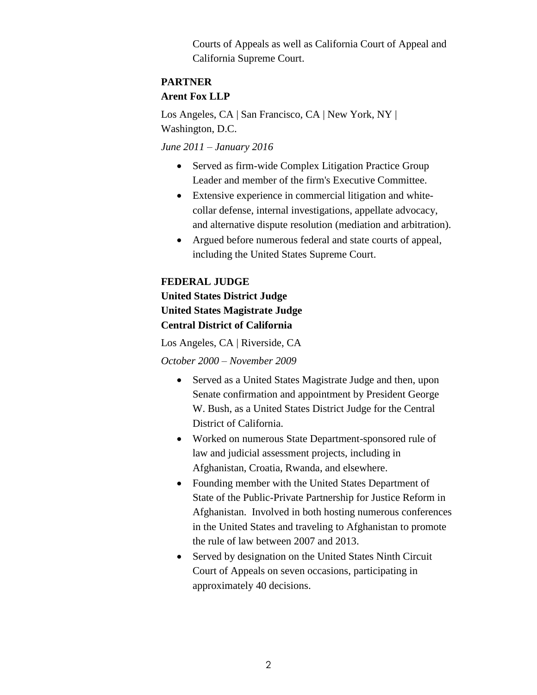Courts of Appeals as well as California Court of Appeal and California Supreme Court.

# **PARTNER Arent Fox LLP**

Los Angeles, CA | San Francisco, CA | New York, NY | Washington, D.C.

*June 2011 – January 2016*

- Served as firm-wide Complex Litigation Practice Group Leader and member of the firm's Executive Committee.
- Extensive experience in commercial litigation and whitecollar defense, internal investigations, appellate advocacy, and alternative dispute resolution (mediation and arbitration).
- Argued before numerous federal and state courts of appeal, including the United States Supreme Court.

#### **FEDERAL JUDGE**

## **United States District Judge United States Magistrate Judge Central District of California**

Los Angeles, CA | Riverside, CA

*October 2000 – November 2009* 

- Served as a United States Magistrate Judge and then, upon Senate confirmation and appointment by President George W. Bush, as a United States District Judge for the Central District of California.
- Worked on numerous State Department-sponsored rule of law and judicial assessment projects, including in Afghanistan, Croatia, Rwanda, and elsewhere.
- Founding member with the United States Department of State of the Public-Private Partnership for Justice Reform in Afghanistan. Involved in both hosting numerous conferences in the United States and traveling to Afghanistan to promote the rule of law between 2007 and 2013.
- Served by designation on the United States Ninth Circuit Court of Appeals on seven occasions, participating in approximately 40 decisions.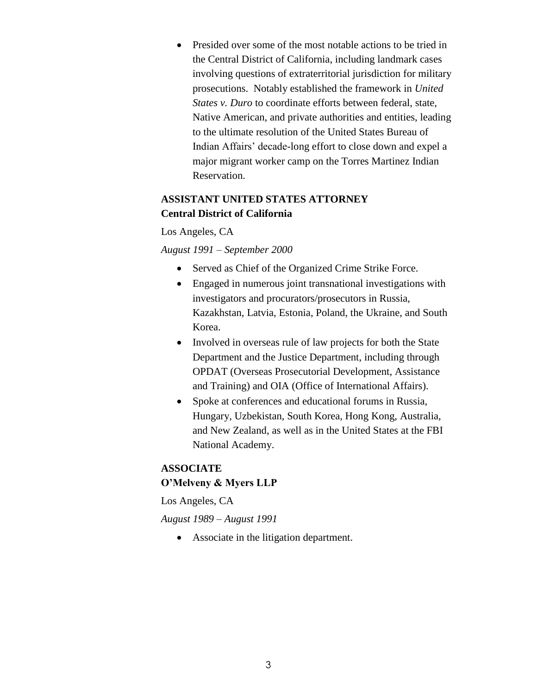Presided over some of the most notable actions to be tried in the Central District of California, including landmark cases involving questions of extraterritorial jurisdiction for military prosecutions. Notably established the framework in *United States v. Duro* to coordinate efforts between federal, state, Native American, and private authorities and entities, leading to the ultimate resolution of the United States Bureau of Indian Affairs' decade-long effort to close down and expel a major migrant worker camp on the Torres Martinez Indian Reservation.

### **ASSISTANT UNITED STATES ATTORNEY Central District of California**

Los Angeles, CA

*August 1991 – September 2000*

- Served as Chief of the Organized Crime Strike Force.
- Engaged in numerous joint transnational investigations with investigators and procurators/prosecutors in Russia, Kazakhstan, Latvia, Estonia, Poland, the Ukraine, and South Korea.
- Involved in overseas rule of law projects for both the State Department and the Justice Department, including through OPDAT (Overseas Prosecutorial Development, Assistance and Training) and OIA (Office of International Affairs).
- Spoke at conferences and educational forums in Russia, Hungary, Uzbekistan, South Korea, Hong Kong, Australia, and New Zealand, as well as in the United States at the FBI National Academy.

### **ASSOCIATE O'Melveny & Myers LLP**

Los Angeles, CA

*August 1989 – August 1991* 

Associate in the litigation department.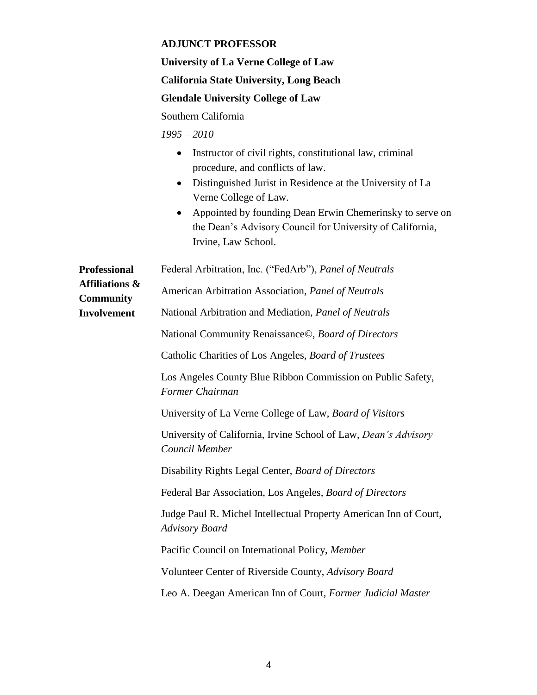#### **ADJUNCT PROFESSOR**

**University of La Verne College of Law California State University, Long Beach Glendale University College of Law**

Southern California

*1995 – 2010* 

- Instructor of civil rights, constitutional law, criminal procedure, and conflicts of law.
- Distinguished Jurist in Residence at the University of La Verne College of Law.
- Appointed by founding Dean Erwin Chemerinsky to serve on the Dean's Advisory Council for University of California, Irvine, Law School.

| Professional                                                        | Federal Arbitration, Inc. ("FedArb"), Panel of Neutrals                                    |
|---------------------------------------------------------------------|--------------------------------------------------------------------------------------------|
| <b>Affiliations &amp;</b><br><b>Community</b><br><b>Involvement</b> | American Arbitration Association, Panel of Neutrals                                        |
|                                                                     | National Arbitration and Mediation, Panel of Neutrals                                      |
|                                                                     | National Community Renaissance©, Board of Directors                                        |
|                                                                     | Catholic Charities of Los Angeles, Board of Trustees                                       |
|                                                                     | Los Angeles County Blue Ribbon Commission on Public Safety,<br>Former Chairman             |
|                                                                     | University of La Verne College of Law, Board of Visitors                                   |
|                                                                     | University of California, Irvine School of Law, Dean's Advisory<br>Council Member          |
|                                                                     | Disability Rights Legal Center, Board of Directors                                         |
|                                                                     | Federal Bar Association, Los Angeles, Board of Directors                                   |
|                                                                     | Judge Paul R. Michel Intellectual Property American Inn of Court,<br><b>Advisory Board</b> |
|                                                                     | Pacific Council on International Policy, Member                                            |
|                                                                     | Volunteer Center of Riverside County, Advisory Board                                       |
|                                                                     | Leo A. Deegan American Inn of Court, Former Judicial Master                                |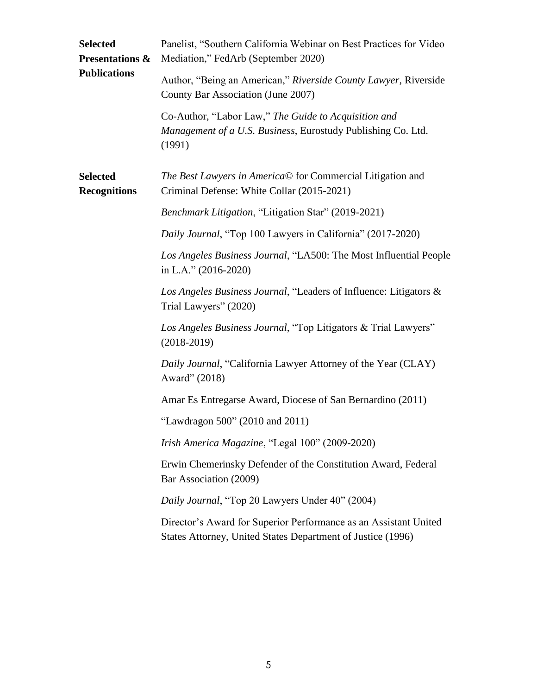| <b>Selected</b><br><b>Presentations &amp;</b><br><b>Publications</b> | Panelist, "Southern California Webinar on Best Practices for Video<br>Mediation," FedArb (September 2020)                       |
|----------------------------------------------------------------------|---------------------------------------------------------------------------------------------------------------------------------|
|                                                                      | Author, "Being an American," Riverside County Lawyer, Riverside<br>County Bar Association (June 2007)                           |
|                                                                      | Co-Author, "Labor Law," The Guide to Acquisition and<br>Management of a U.S. Business, Eurostudy Publishing Co. Ltd.<br>(1991)  |
| <b>Selected</b><br><b>Recognitions</b>                               | The Best Lawyers in America© for Commercial Litigation and<br>Criminal Defense: White Collar (2015-2021)                        |
|                                                                      | Benchmark Litigation, "Litigation Star" (2019-2021)                                                                             |
|                                                                      | Daily Journal, "Top 100 Lawyers in California" (2017-2020)                                                                      |
|                                                                      | Los Angeles Business Journal, "LA500: The Most Influential People<br>in L.A." (2016-2020)                                       |
|                                                                      | Los Angeles Business Journal, "Leaders of Influence: Litigators &<br>Trial Lawyers" (2020)                                      |
|                                                                      | Los Angeles Business Journal, "Top Litigators & Trial Lawyers"<br>$(2018 - 2019)$                                               |
|                                                                      | Daily Journal, "California Lawyer Attorney of the Year (CLAY)<br>Award" (2018)                                                  |
|                                                                      | Amar Es Entregarse Award, Diocese of San Bernardino (2011)                                                                      |
|                                                                      | "Lawdragon 500" (2010 and 2011)                                                                                                 |
|                                                                      | Irish America Magazine, "Legal 100" (2009-2020)                                                                                 |
|                                                                      | Erwin Chemerinsky Defender of the Constitution Award, Federal<br>Bar Association (2009)                                         |
|                                                                      | Daily Journal, "Top 20 Lawyers Under 40" (2004)                                                                                 |
|                                                                      | Director's Award for Superior Performance as an Assistant United<br>States Attorney, United States Department of Justice (1996) |